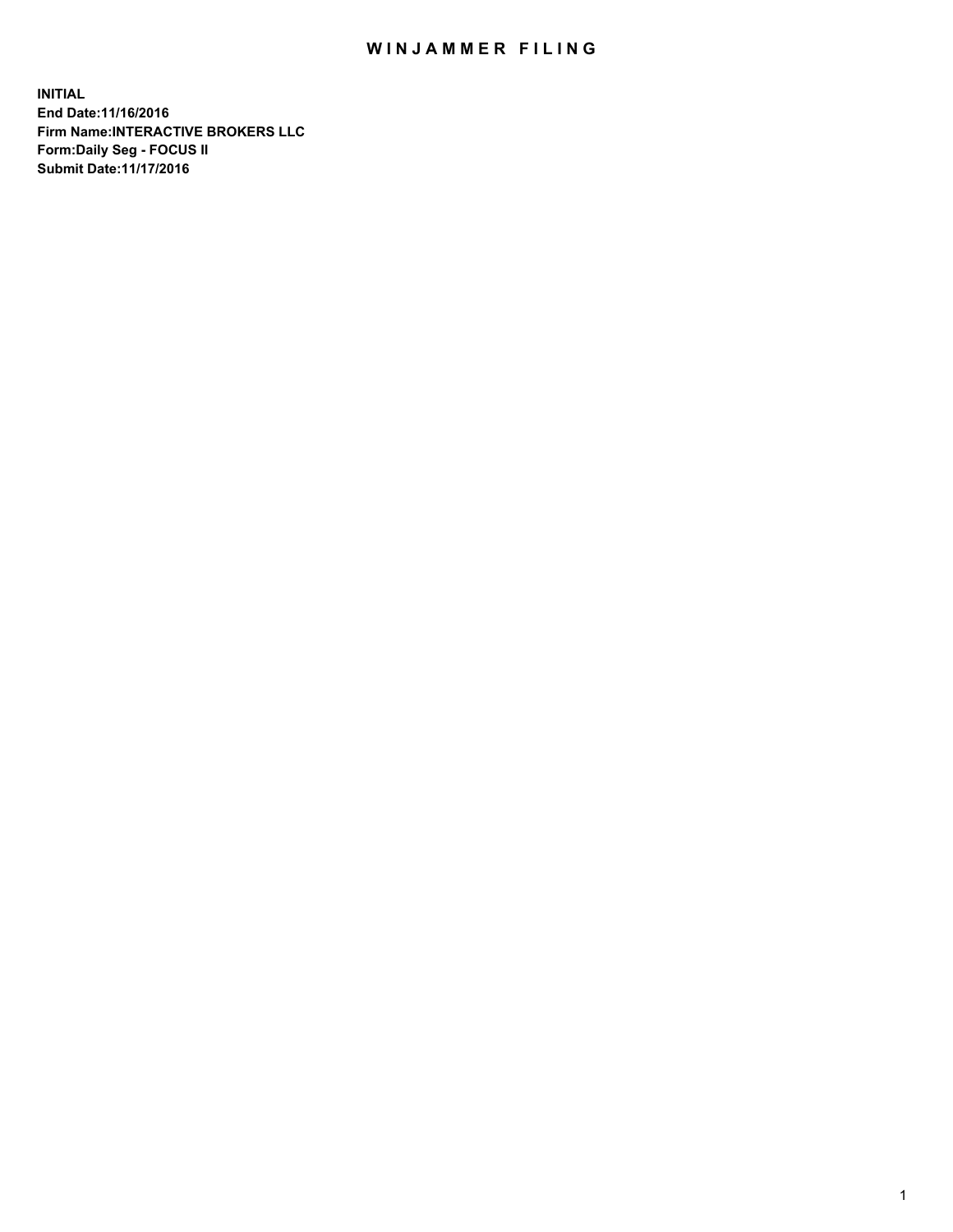## WIN JAMMER FILING

**INITIAL End Date:11/16/2016 Firm Name:INTERACTIVE BROKERS LLC Form:Daily Seg - FOCUS II Submit Date:11/17/2016**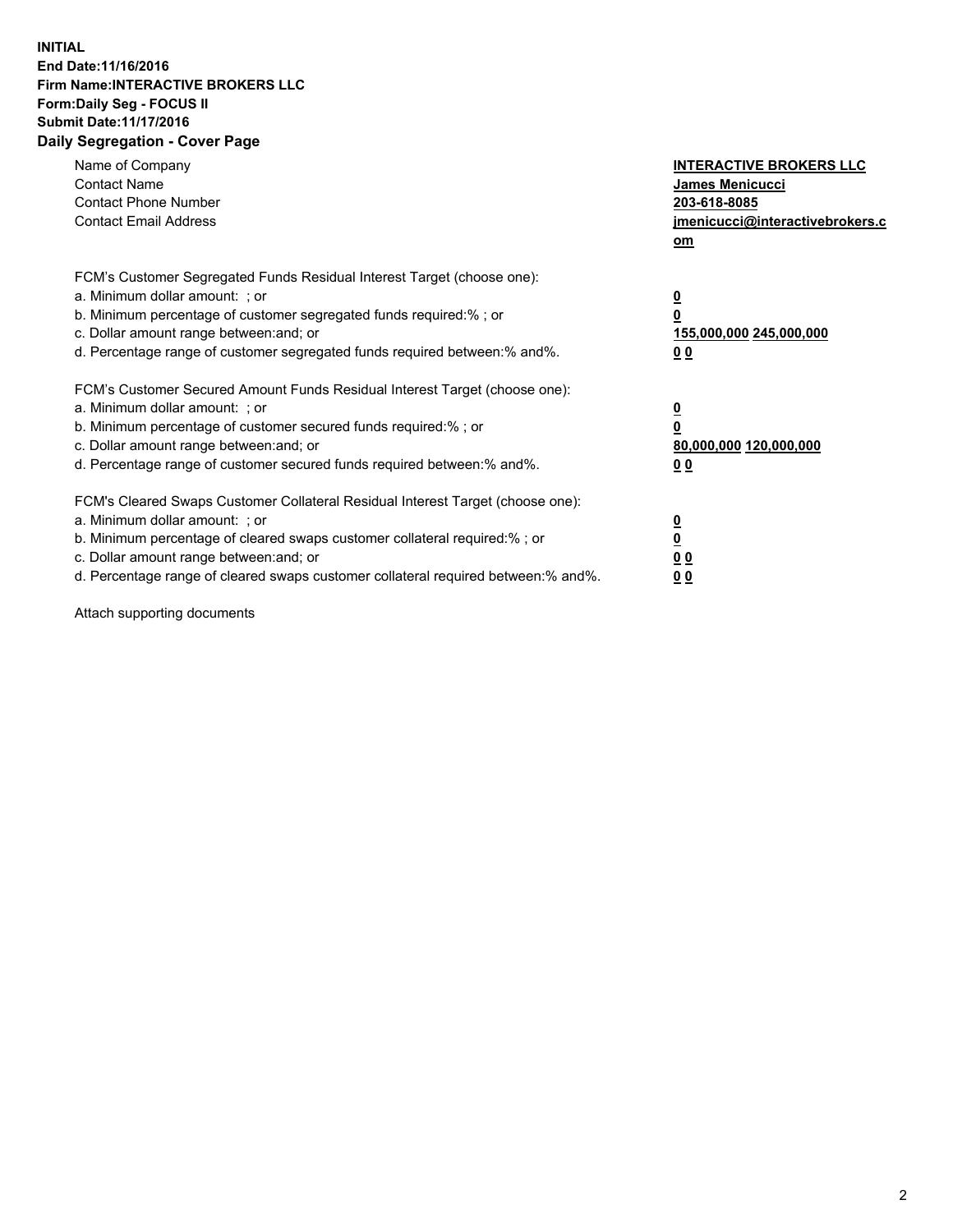## **INITIAL End Date:11/16/2016 Firm Name:INTERACTIVE BROKERS LLC Form:Daily Seg - FOCUS II Submit Date:11/17/2016 Daily Segregation - Cover Page**

| Name of Company<br><b>Contact Name</b><br><b>Contact Phone Number</b><br><b>Contact Email Address</b>                                                                                                                                                                                                                          | <b>INTERACTIVE BROKERS LLC</b><br><b>James Menicucci</b><br>203-618-8085<br>jmenicucci@interactivebrokers.c<br>om |
|--------------------------------------------------------------------------------------------------------------------------------------------------------------------------------------------------------------------------------------------------------------------------------------------------------------------------------|-------------------------------------------------------------------------------------------------------------------|
| FCM's Customer Segregated Funds Residual Interest Target (choose one):<br>a. Minimum dollar amount: ; or<br>b. Minimum percentage of customer segregated funds required:%; or<br>c. Dollar amount range between: and; or<br>d. Percentage range of customer segregated funds required between:% and%.                          | $\overline{\mathbf{0}}$<br>0<br>155,000,000 245,000,000<br>0 <sub>0</sub>                                         |
| FCM's Customer Secured Amount Funds Residual Interest Target (choose one):<br>a. Minimum dollar amount: ; or<br>b. Minimum percentage of customer secured funds required:%; or<br>c. Dollar amount range between: and; or<br>d. Percentage range of customer secured funds required between: % and %.                          | $\overline{\mathbf{0}}$<br>0<br>80,000,000 120,000,000<br>0 <sub>0</sub>                                          |
| FCM's Cleared Swaps Customer Collateral Residual Interest Target (choose one):<br>a. Minimum dollar amount: ; or<br>b. Minimum percentage of cleared swaps customer collateral required:% ; or<br>c. Dollar amount range between: and; or<br>d. Percentage range of cleared swaps customer collateral required between:% and%. | $\overline{\mathbf{0}}$<br>$\overline{\mathbf{0}}$<br>0 <sub>0</sub><br><u>00</u>                                 |

Attach supporting documents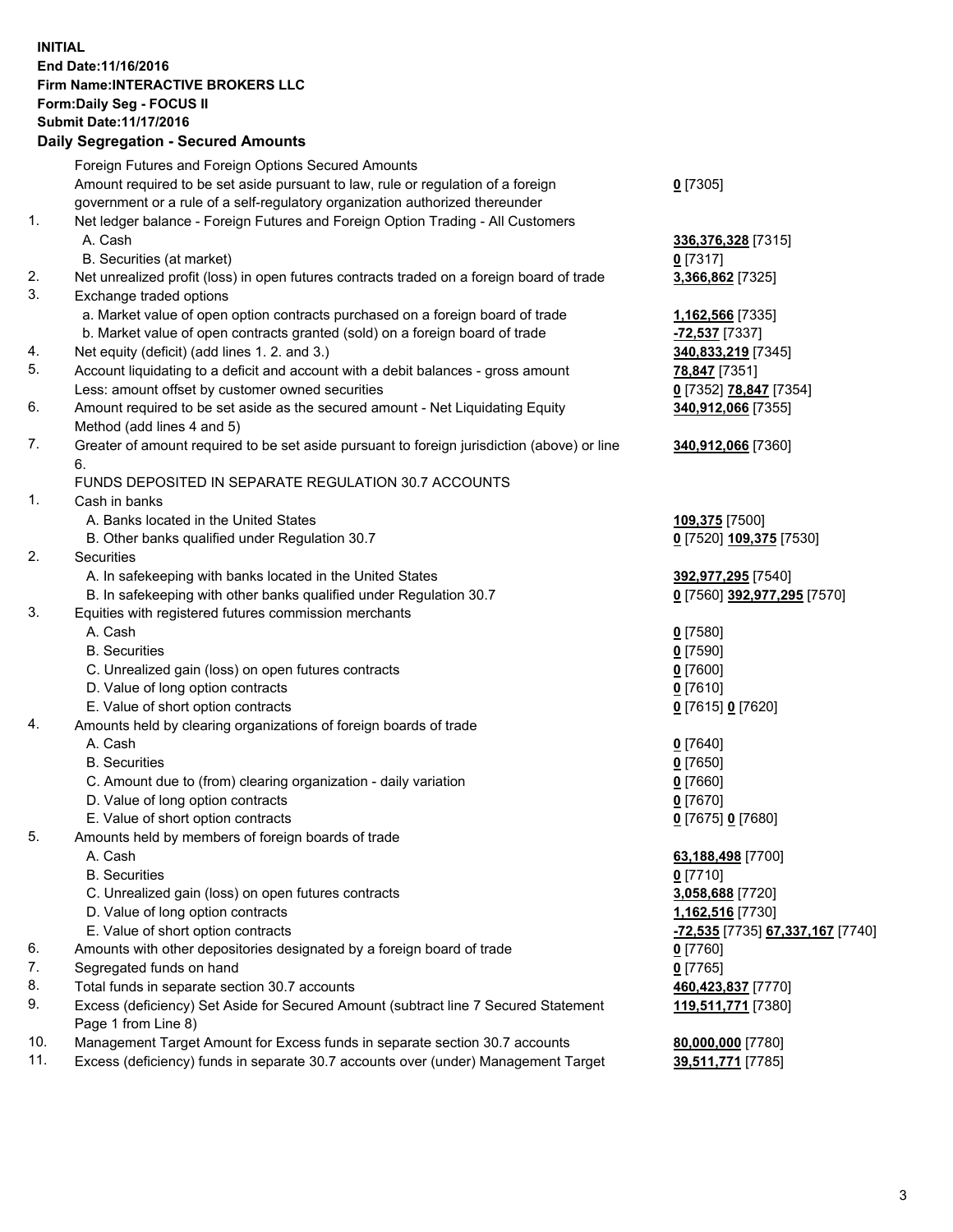## **INITIAL End Date:11/16/2016 Firm Name:INTERACTIVE BROKERS LLC Form:Daily Seg - FOCUS II Submit Date:11/17/2016 Daily Segregation - Secured Amounts**

|     | Daily Segregation - Secured Amounts                                                                        |                                  |
|-----|------------------------------------------------------------------------------------------------------------|----------------------------------|
|     | Foreign Futures and Foreign Options Secured Amounts                                                        |                                  |
|     | Amount required to be set aside pursuant to law, rule or regulation of a foreign                           | $0$ [7305]                       |
|     | government or a rule of a self-regulatory organization authorized thereunder                               |                                  |
| 1.  | Net ledger balance - Foreign Futures and Foreign Option Trading - All Customers                            |                                  |
|     | A. Cash                                                                                                    | 336,376,328 [7315]               |
|     | B. Securities (at market)                                                                                  | $0$ [7317]                       |
| 2.  | Net unrealized profit (loss) in open futures contracts traded on a foreign board of trade                  | 3,366,862 [7325]                 |
| 3.  | Exchange traded options                                                                                    |                                  |
|     | a. Market value of open option contracts purchased on a foreign board of trade                             | 1,162,566 [7335]                 |
|     | b. Market value of open contracts granted (sold) on a foreign board of trade                               | -72,537 [7337]                   |
| 4.  | Net equity (deficit) (add lines 1. 2. and 3.)                                                              | 340,833,219 [7345]               |
| 5.  | Account liquidating to a deficit and account with a debit balances - gross amount                          | 78,847 [7351]                    |
|     | Less: amount offset by customer owned securities                                                           | 0 [7352] 78,847 [7354]           |
| 6.  | Amount required to be set aside as the secured amount - Net Liquidating Equity                             | 340,912,066 [7355]               |
|     | Method (add lines 4 and 5)                                                                                 |                                  |
| 7.  | Greater of amount required to be set aside pursuant to foreign jurisdiction (above) or line                | 340,912,066 [7360]               |
|     | 6.                                                                                                         |                                  |
|     | FUNDS DEPOSITED IN SEPARATE REGULATION 30.7 ACCOUNTS                                                       |                                  |
| 1.  | Cash in banks                                                                                              |                                  |
|     | A. Banks located in the United States                                                                      | 109,375 [7500]                   |
|     | B. Other banks qualified under Regulation 30.7                                                             | 0 [7520] 109,375 [7530]          |
| 2.  | <b>Securities</b>                                                                                          |                                  |
|     | A. In safekeeping with banks located in the United States                                                  | 392,977,295 [7540]               |
|     | B. In safekeeping with other banks qualified under Regulation 30.7                                         | 0 [7560] 392,977,295 [7570]      |
| 3.  | Equities with registered futures commission merchants                                                      |                                  |
|     | A. Cash                                                                                                    | $0$ [7580]                       |
|     | <b>B.</b> Securities                                                                                       | $0$ [7590]                       |
|     | C. Unrealized gain (loss) on open futures contracts                                                        | $0$ [7600]                       |
|     | D. Value of long option contracts                                                                          | $0$ [7610]                       |
|     | E. Value of short option contracts                                                                         | 0 [7615] 0 [7620]                |
| 4.  | Amounts held by clearing organizations of foreign boards of trade                                          |                                  |
|     | A. Cash                                                                                                    | $0$ [7640]                       |
|     | <b>B.</b> Securities                                                                                       | $0$ [7650]                       |
|     | C. Amount due to (from) clearing organization - daily variation                                            | $0$ [7660]                       |
|     | D. Value of long option contracts                                                                          | $0$ [7670]                       |
|     | E. Value of short option contracts                                                                         | 0 [7675] 0 [7680]                |
| 5.  | Amounts held by members of foreign boards of trade                                                         |                                  |
|     | A. Cash                                                                                                    | 63,188,498 [7700]                |
|     | <b>B.</b> Securities                                                                                       | $0$ [7710]                       |
|     | C. Unrealized gain (loss) on open futures contracts                                                        | 3,058,688 [7720]                 |
|     | D. Value of long option contracts                                                                          | 1,162,516 [7730]                 |
|     | E. Value of short option contracts                                                                         | -72,535 [7735] 67,337,167 [7740] |
| 6.  | Amounts with other depositories designated by a foreign board of trade                                     | 0 [7760]                         |
| 7.  | Segregated funds on hand                                                                                   | $0$ [7765]                       |
| 8.  | Total funds in separate section 30.7 accounts                                                              | 460,423,837 [7770]               |
| 9.  | Excess (deficiency) Set Aside for Secured Amount (subtract line 7 Secured Statement<br>Page 1 from Line 8) | 119,511,771 [7380]               |
| 10. | Management Target Amount for Excess funds in separate section 30.7 accounts                                | 80,000,000 [7780]                |
| 11. | Excess (deficiency) funds in separate 30.7 accounts over (under) Management Target                         | 39,511,771 [7785]                |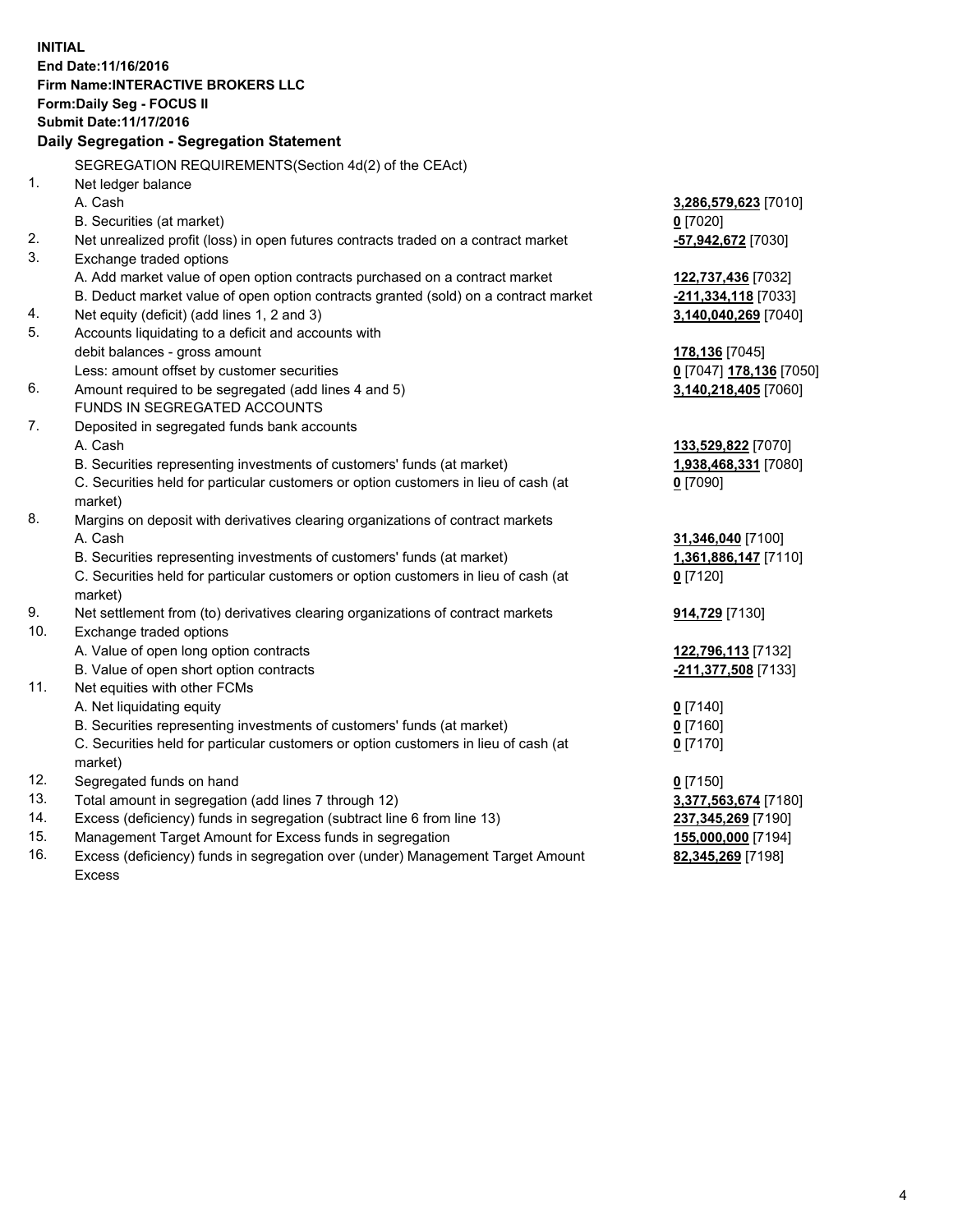**INITIAL End Date:11/16/2016 Firm Name:INTERACTIVE BROKERS LLC Form:Daily Seg - FOCUS II Submit Date:11/17/2016 Daily Segregation - Segregation Statement** SEGREGATION REQUIREMENTS(Section 4d(2) of the CEAct) 1. Net ledger balance A. Cash **3,286,579,623** [7010] B. Securities (at market) **0** [7020] 2. Net unrealized profit (loss) in open futures contracts traded on a contract market **-57,942,672** [7030] 3. Exchange traded options A. Add market value of open option contracts purchased on a contract market **122,737,436** [7032] B. Deduct market value of open option contracts granted (sold) on a contract market **-211,334,118** [7033] 4. Net equity (deficit) (add lines 1, 2 and 3) **3,140,040,269** [7040] 5. Accounts liquidating to a deficit and accounts with debit balances - gross amount **178,136** [7045] Less: amount offset by customer securities **0** [7047] **178,136** [7050] 6. Amount required to be segregated (add lines 4 and 5) **3,140,218,405** [7060] FUNDS IN SEGREGATED ACCOUNTS 7. Deposited in segregated funds bank accounts A. Cash **133,529,822** [7070] B. Securities representing investments of customers' funds (at market) **1,938,468,331** [7080] C. Securities held for particular customers or option customers in lieu of cash (at market) **0** [7090] 8. Margins on deposit with derivatives clearing organizations of contract markets A. Cash **31,346,040** [7100] B. Securities representing investments of customers' funds (at market) **1,361,886,147** [7110] C. Securities held for particular customers or option customers in lieu of cash (at market) **0** [7120] 9. Net settlement from (to) derivatives clearing organizations of contract markets **914,729** [7130] 10. Exchange traded options A. Value of open long option contracts **122,796,113** [7132] B. Value of open short option contracts **-211,377,508** [7133] 11. Net equities with other FCMs A. Net liquidating equity **0** [7140] B. Securities representing investments of customers' funds (at market) **0** [7160] C. Securities held for particular customers or option customers in lieu of cash (at market) **0** [7170] 12. Segregated funds on hand **0** [7150] 13. Total amount in segregation (add lines 7 through 12) **3,377,563,674** [7180] 14. Excess (deficiency) funds in segregation (subtract line 6 from line 13) **237,345,269** [7190] 15. Management Target Amount for Excess funds in segregation **155,000,000** [7194] **82,345,269** [7198]

16. Excess (deficiency) funds in segregation over (under) Management Target Amount Excess